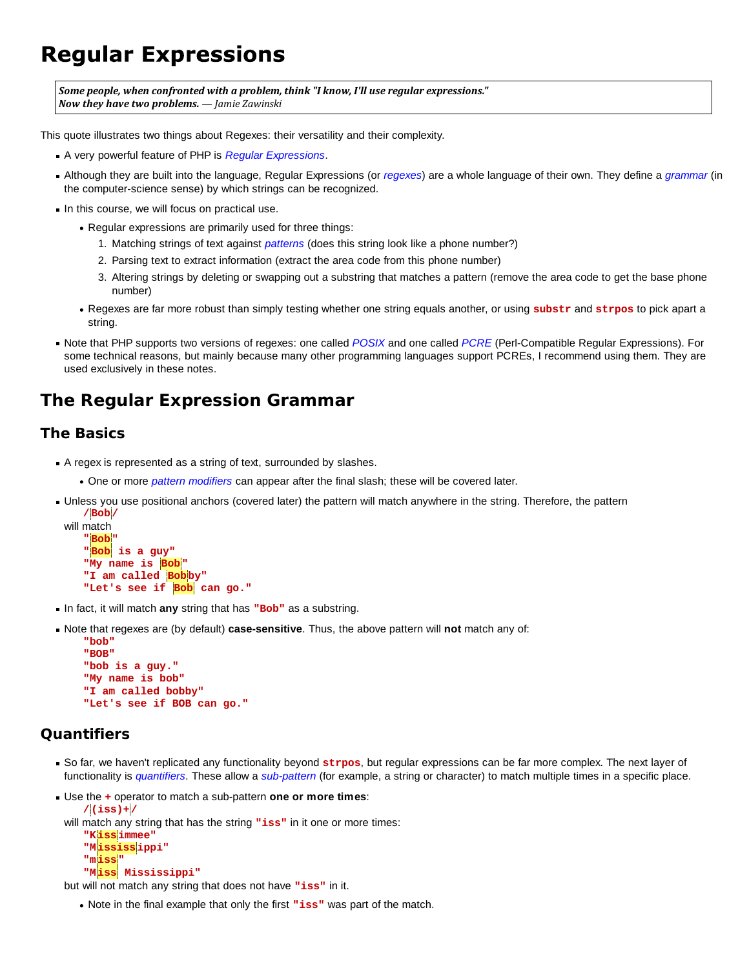# **Regular Expressions**

*Some people, when confronted with a problem, think "I know, I'll use regular expressions." Now they have two problems. — Jamie Zawinski*

This quote illustrates two things about Regexes: their versatility and their complexity.

- A very powerful feature of PHP is *Regular Expressions*.
- Although they are built into the language, Regular Expressions (or *regexes*) are a whole language of their own. They define a *grammar* (in the computer-science sense) by which strings can be recognized.
- In this course, we will focus on practical use.
	- Regular expressions are primarily used for three things:
		- 1. Matching strings of text against *patterns* (does this string look like a phone number?)
		- 2. Parsing text to extract information (extract the area code from this phone number)
		- Altering strings by deleting or swapping out a substring that matches a pattern (remove the area code to get the base phone 3. number)
	- Regexes are far more robust than simply testing whether one string equals another, or using **substr** and **strpos** to pick apart a string.
- Note that PHP supports two versions of regexes: one called *POSIX* and one called *PCRE* (Perl-Compatible Regular Expressions). For some technical reasons, but mainly because many other programming languages support PCREs, I recommend using them. They are used exclusively in these notes.

# **The Regular Expression Grammar**

## **The Basics**

- A regex is represented as a string of text, surrounded by slashes.
	- One or more *pattern modifiers* can appear after the final slash; these will be covered later.
- Unless you use positional anchors (covered later) the pattern will match anywhere in the string. Therefore, the pattern  **/Bob /**

```
will match
    "Bob "
    "Bob is a guy"
    "My name is Bob "
   "I am called Bob by"
    "Let's see if Bob can go."
```
- In fact, it will match **any** string that has **"Bob"** as a substring.
- Note that regexes are (by default) **case-sensitive**. Thus, the above pattern will **not** match any of:

```
 "bob"
 "BOB"
 "bob is a guy."
 "My name is bob"
 "I am called bobby"
 "Let's see if BOB can go."
```
### **Quantifiers**

- So far, we haven't replicated any functionality beyond **strpos**, but regular expressions can be far more complex. The next layer of functionality is *quantifiers*. These allow a *sub-pattern* (for example, a string or character) to match multiple times in a specific place.
- Use the **+** operator to match a sub-pattern **one or more times**:

```
 /(iss)+ /
will match any string that has the string "iss" in it one or more times:
     "Kiss immee"
     "Mississ ippi"
     "miss "
     "Miss Mississippi"
```
but will not match any string that does not have **"iss"** in it.

Note in the final example that only the first **"iss"** was part of the match.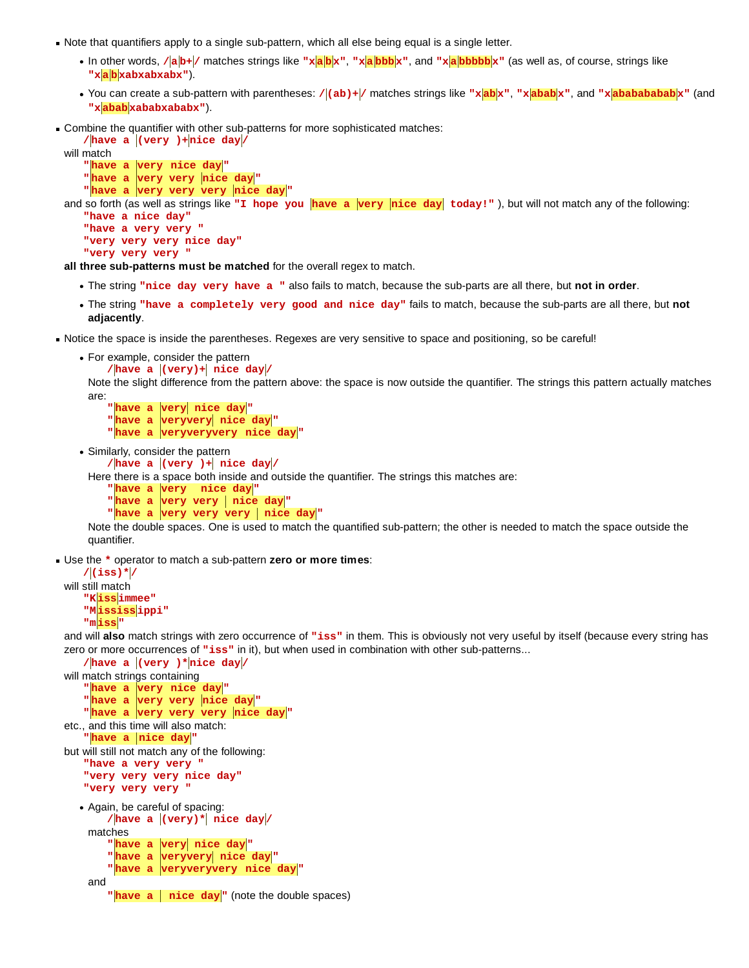- Note that quantifiers apply to a single sub-pattern, which all else being equal is a single letter.
	- In other words, **/a b+ /** matches strings like **"xa b x"**, **"xa bbb x"**, and **"xa bbbbb x"** (as well as, of course, strings like **"xa b xabxabxabx"**).
	- You can create a sub-pattern with parentheses: /|(ab)+|/ matches strings like "x|ab<sub>a</sub>x", "x|ababx", and "x|ababababab|x" (and **"xabab xababxababx"**).
- Combine the quantifier with other sub-patterns for more sophisticated matches:

```
\frac{1}{\sqrt{2}} / \frac{1}{\sqrt{2}} / \frac{1}{\sqrt{2}} / \frac{1}{\sqrt{2}} / \frac{1}{\sqrt{2}} / \frac{1}{\sqrt{2}} / \frac{1}{\sqrt{2}} / \frac{1}{\sqrt{2}} / \frac{1}{\sqrt{2}} / \frac{1}{\sqrt{2}} / \frac{1}{\sqrt{2}} / \frac{1}{\sqrt{2}} / \frac{1}{\sqrt{2}} / \frac{1}{\sqrt{2}} / \frac{1}{\sqrt{will match
        "have a very nice day "
       " have a very very nice day"
       " have a very very very nice day"
and so forth (as well as strings like "I hope you have a very nice day today!"), but will not match any of the following:
        "have a nice day"
```

```
 "have a very very "
 "very very very nice day"
 "very very very "
```
**all three sub-patterns must be matched** for the overall regex to match.

- The string **"nice day very have a "** also fails to match, because the sub-parts are all there, but **not in order**.
- The string **"have a completely very good and nice day"** fails to match, because the sub-parts are all there, but **not adjacently**.
- Notice the space is inside the parentheses. Regexes are very sensitive to space and positioning, so be careful!
	- For example, consider the pattern

```
/|\text{have a }|(\text{very})+| nice day
```
Note the slight difference from the pattern above: the space is now outside the quantifier. The strings this pattern actually matches are:

```
" have a very nice day"
" have a veryvery nice day"
"have a veryveryvery nice day"
```
Similarly, consider the pattern

```
/|\text{have a }|(\text{very })+| nice day|/
```
Here there is a space both inside and outside the quantifier. The strings this matches are:

```
" have a very nice day"
" have a very very nice day"
" have a very very very nice day"
```
Note the double spaces. One is used to match the quantified sub-pattern; the other is needed to match the space outside the quantifier.

Use the **\*** operator to match a sub-pattern **zero or more times**:

```
 /(iss)* /
will still match
     "Kiss immee"
     "Mississ ippi"
     "miss "
```
and will **also** match strings with zero occurrence of **"iss"** in them. This is obviously not very useful by itself (because every string has zero or more occurrences of "iss" in it), but when used in combination with other sub-patterns...

```
/have a (very )*nice day/
will match strings containing
   " have a very nice day"
   " have a very very nice day"
   " have a very very very nice day"
etc., and this time will also match:
   " have a nice day"
but will still not match any of the following:
    "have a very very "
    "very very very nice day"
    "very very very "
  Again, be careful of spacing:
        /|\text{have a }|(\text{very})*| nice day/
    matches
        " have a very nice day"
         "have a veryvery nice day "
        " have a veryveryvery nice day"
    and
        "have a \parallel nice day<sup>"</sup> (note the double spaces)
```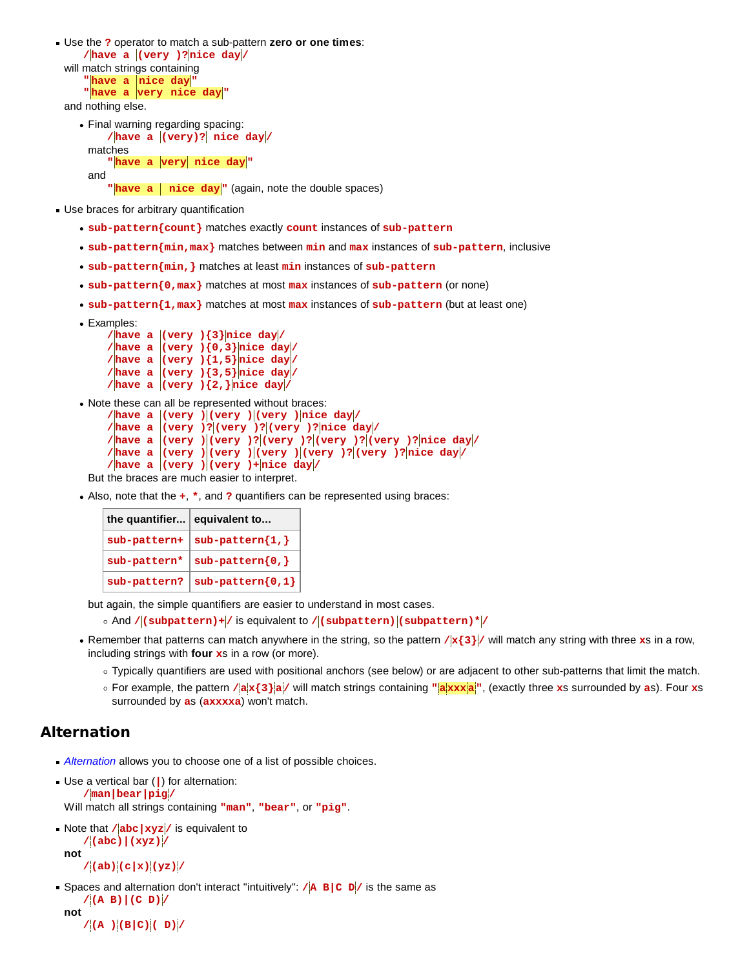Use the **?** operator to match a sub-pattern **zero or one times**:  **/have a (very )?nice day /** will match strings containing **"**have a nice day"  **"have a very nice day "** and nothing else.

Final warning regarding spacing:  **/have a (very)? nice day /** matches " have a very nice day" and

"**have a** nice day<sup>"</sup> (again, note the double spaces)

- Use braces for arbitrary quantification
	- **sub-pattern{count}** matches exactly **count** instances of **sub-pattern**
	- **sub-pattern{min,max}** matches between **min** and **max** instances of **sub-pattern**, inclusive
	- **sub-pattern{min,}** matches at least **min** instances of **sub-pattern**
	- **sub-pattern{0,max}** matches at most **max** instances of **sub-pattern** (or none)
	- **sub-pattern{1,max}** matches at most **max** instances of **sub-pattern** (but at least one)
	- Examples:

```
/have a |(very) \{3\}nice day
     /have a (very )(0,3)nice day
     \ell / have a (\text{very })(1,5) nice day
     \ell / have a (\text{very })(3,5) nice day
     /have a |(very) \{2, \}nice day
Note these can all be represented without braces:
      /have a (very ) (very ) (very ) nice day /
      /have a (very )? (very )? (very )? nice day /
      /have a (very ) (very )? (very )? (very )? (very )? nice day /
      /have a (very ) (very ) (very ) (very )? (very )? nice day /
      /have a (very ) (very )+ nice day /
 But the braces are much easier to interpret.
```
Also, note that the **+**, **\***, and **?** quantifiers can be represented using braces:

| the quantifier equivalent to |                    |
|------------------------------|--------------------|
| $sub-pattern+$               | $sub-pattern{1,}$  |
| sub-pattern*                 | $sub-pattern{0,}$  |
| sub-pattern?                 | $sub-pattern{0,1}$ |

but again, the simple quantifiers are easier to understand in most cases.

- $\circ$  And / (subpattern)+ / is equivalent to / (subpattern) (subpattern)\* /
- Remember that patterns can match anywhere in the string, so the pattern **/x{3} /** will match any string with three **x**s in a row, including strings with **four x**s in a row (or more).
	- Typically quantifiers are used with positional anchors (see below) or are adjacent to other sub-patterns that limit the match.
	- For example, the pattern **/ax{3}a /** will match strings containing **"axxxa "**, (exactly three **x**s surrounded by **a**s). Four **x**s surrounded by **a**s (**axxxxa**) won't match.

### **Alternation**

**Alternation** allows you to choose one of a list of possible choices.

```
Use a vertical bar (|) for alternation:
      /man|bear|pig /
 Will match all strings containing "man", "bear", or "pig".
```

```
Note that /abc |xyz / is equivalent to
      /(abc)|(xyz) /
 not
```

```
 /(ab)(c|x)(yz) /
```

```
Spaces and alternation don't interact "intuitively": /A B C D / is the same as
      /(A B)|(C D) /
 not
```

```
 /(A )(B|C)( D) /
```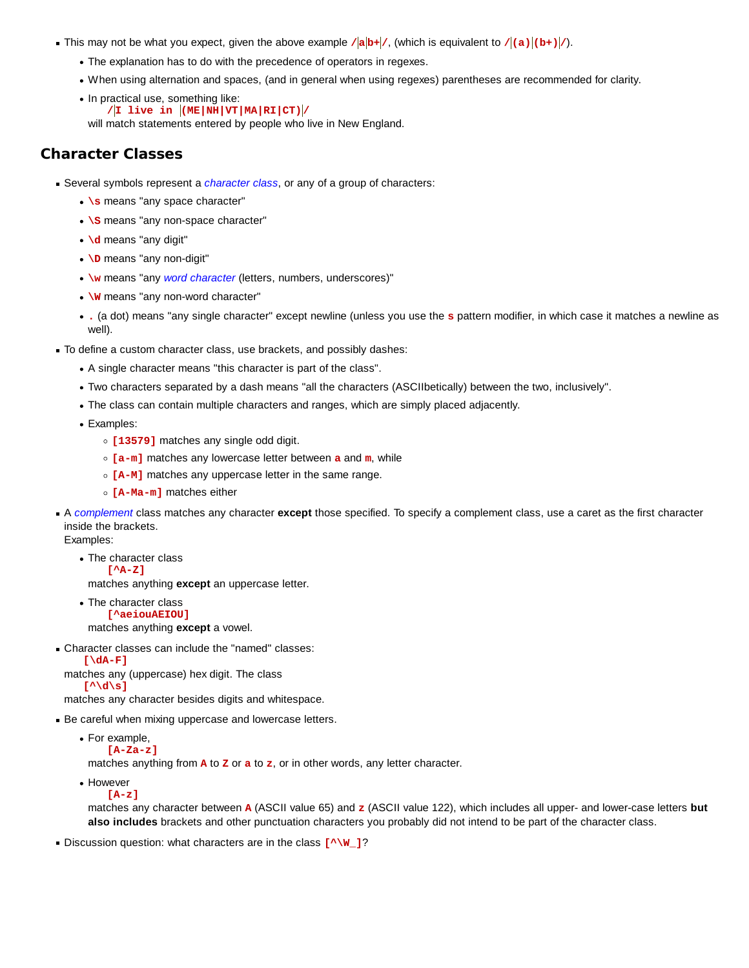- This may not be what you expect, given the above example  $\ell |ab + \ell|$ , (which is equivalent to  $\ell |(a)| (b + \ell)$ ).
	- The explanation has to do with the precedence of operators in regexes.
	- When using alternation and spaces, (and in general when using regexes) parentheses are recommended for clarity.
	- In practical use, something like:  **/I live in (ME|NH|VT|MA|RI|CT) /**

will match statements entered by people who live in New England.

# **Character Classes**

- Several symbols represent a *character class*, or any of a group of characters:
	- **.** \s means "any space character"
	- \s means "any non-space character"
	- **\d** means "any digit"
	- **\D** means "any non-digit"
	- **\w** means "any *word character* (letters, numbers, underscores)"
	- **W** means "any non-word character"
	- **.** (a dot) means "any single character" except newline (unless you use the **s** pattern modifier, in which case it matches a newline as well).
- To define a custom character class, use brackets, and possibly dashes:
	- A single character means "this character is part of the class".
	- Two characters separated by a dash means "all the characters (ASCIIbetically) between the two, inclusively".
	- The class can contain multiple characters and ranges, which are simply placed adjacently.

• Examples:

- **[13579]** matches any single odd digit.
- **[a-m]** matches any lowercase letter between **a** and **m**, while
- **[A-M]** matches any uppercase letter in the same range.
- **[A-Ma-m]** matches either
- A *complement* class matches any character **except** those specified. To specify a complement class, use a caret as the first character inside the brackets.

Examples:

• The character class  **[^A-Z]**

matches anything **except** an uppercase letter.

• The character class  **[^aeiouAEIOU]**

matches anything **except** a vowel.

Character classes can include the "named" classes:

 **[\dA-F]** matches any (uppercase) hex digit. The class  **[^\d\s]**

matches any character besides digits and whitespace.

- Be careful when mixing uppercase and lowercase letters.
	- For example,

 **[A-Za-z]**

matches anything from **A** to **Z** or **a** to **z**, or in other words, any letter character.

• However

 **[A-z]**

matches any character between **A** (ASCII value 65) and **z** (ASCII value 122), which includes all upper- and lower-case letters **but also includes** brackets and other punctuation characters you probably did not intend to be part of the character class.

Discussion question: what characters are in the class  $[\wedge \wedge w]$ ?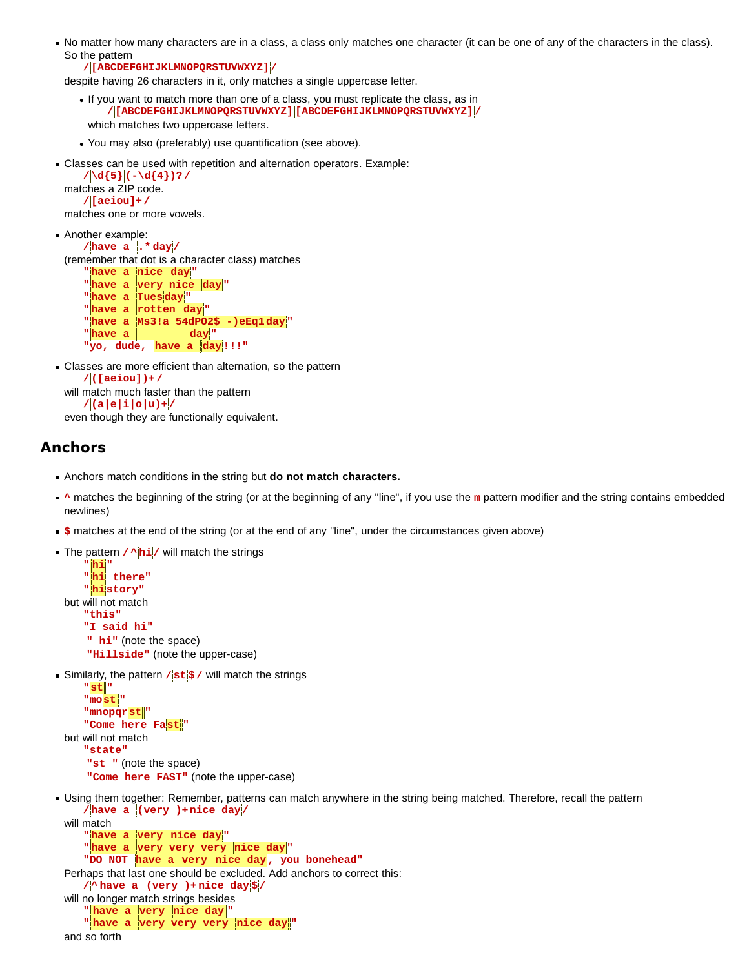No matter how many characters are in a class, a class only matches one character (it can be one of any of the characters in the class). So the pattern

 **/[ABCDEFGHIJKLMNOPQRSTUVWXYZ] /**

despite having 26 characters in it, only matches a single uppercase letter.

- If you want to match more than one of a class, you must replicate the class, as in  **/[ABCDEFGHIJKLMNOPQRSTUVWXYZ] [ABCDEFGHIJKLMNOPQRSTUVWXYZ] /** which matches two uppercase letters.
- You may also (preferably) use quantification (see above).
- Classes can be used with repetition and alternation operators. Example:

 **/\d{5} (-\d{4})? /** matches a ZIP code.  **/[aeiou]+ /**

matches one or more vowels.

```
Another example:
     /have a .* day /
 (remember that dot is a character class) matches
     "have a nice day "
      "have a very nice day "
     "have a Tuesday "
     "have a rotten day "
     "have a Ms3!a 54dPO2$ -)eEq1day "
    " have a \vert day"
      "yo, dude, have a day !!!"
Classes are more efficient than alternation, so the pattern
```
 **/([aeiou])+ /** will match much faster than the pattern  **/(a|e|i|o|u)+ /**

even though they are functionally equivalent.

### **Anchors**

- Anchors match conditions in the string but **do not match characters.**
- <sup>★</sup> matches the beginning of the string (or at the beginning of any "line", if you use the **m** pattern modifier and the string contains embedded newlines)
- **\$** matches at the end of the string (or at the end of any "line", under the circumstances given above)
- **The pattern /<sup>\*</sup> hi** / will match the strings

```
 " hi "
     " hi there"
     " hi story"
but will not match
    "this"
    "I said hi"
     " hi" (note the space)
     "Hillside" (note the upper-case)
```
Similarly, the pattern **/st \$ /** will match the strings

```
 "st "
    "most "
    "mnopqrst "
    "Come here Fast "
but will not match
    "state"
     "st " (note the space)
     "Come here FAST" (note the upper-case)
```
Using them together: Remember, patterns can match anywhere in the string being matched. Therefore, recall the pattern  **/have a (very )+nice day /**

```
will match
    "have a very nice day "
    "have a very very very nice day "
    "DO NOT have a very nice day , you bonehead"
Perhaps that last one should be excluded. Add anchors to correct this:
    /^ have a (very )+nice day $ /
will no longer match strings besides
    " have a very nice day "
    " have a very very very nice day "
and so forth
```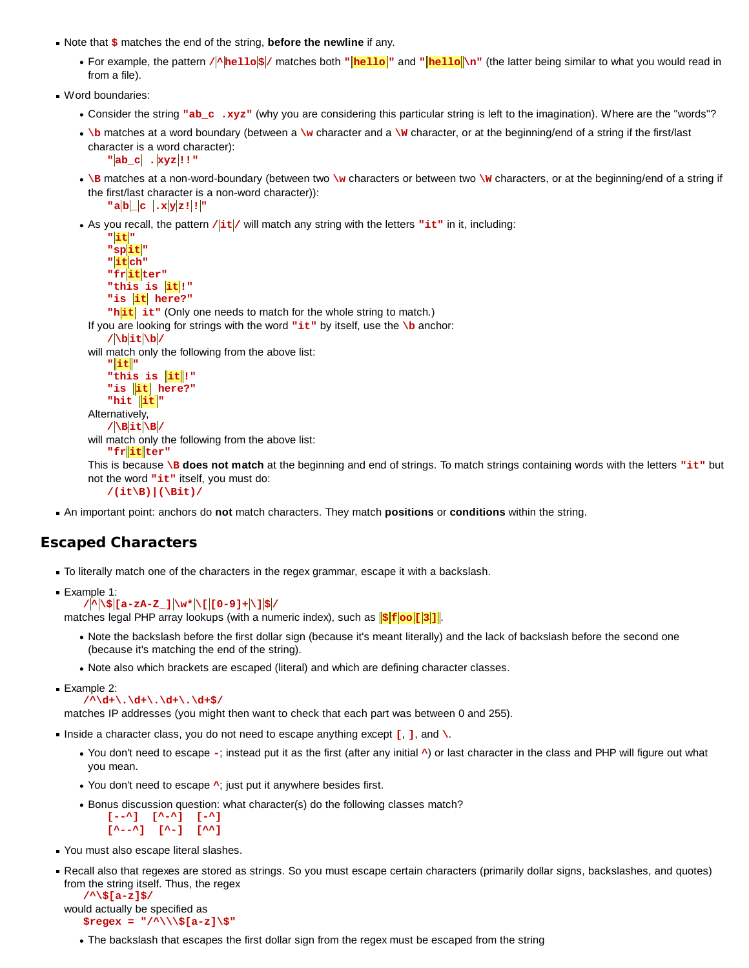- Note that **\$** matches the end of the string, **before the newline** if any.
	- For example, the pattern  $/$ **\** hello $\frac{s}{r}$  matches both "**hello "** and "**hello** \n" (the latter being similar to what you would read in from a file).
- Word boundaries:
	- Consider the string **"ab\_c .xyz"** (why you are considering this particular string is left to the imagination). Where are the "words"?
	- **\b** matches at a word boundary (between a **\w** character and a **\W** character, or at the beginning/end of a string if the first/last character is a word character):
		- **"ab\_c . xyz !!"**
	- **. \B** matches at a non-word-boundary (between two \w characters or between two \w characters, or at the beginning/end of a string if the first/last character is a non-word character)):
	- $\textbf{u} = \frac{a}{b} \begin{bmatrix} b \\ c \end{bmatrix}$  .  $\textbf{x} = \frac{y}{z}$ As you recall, the pattern **/it /** will match any string with the letters **"it"** in it, including:
	- **"it " "spit " "it ch" "frit ter"** "this is it!" "is it here?" "h<sub>it</sub> it" (Only one needs to match for the whole string to match.) If you are looking for strings with the word **"it"** by itself, use the **\b** anchor:  **/\bit\b /** will match only the following from the above list:  **" it " "this is it !" "is it here?"**  $"$ hit  $"$ it $"$ Alternatively,  **/\Bit\B /** will match only the following from the above list:  **"fr it ter"**

This is because **\B** does not match at the beginning and end of strings. To match strings containing words with the letters "it" but not the word **"it"** itself, you must do:

 **/(it\B)|(\Bit)/**

An important point: anchors do **not** match characters. They match **positions** or **conditions** within the string.

### **Escaped Characters**

- To literally match one of the characters in the regex grammar, escape it with a backslash.
- Example 1:  **/^ \\$ [a-zA-Z\_] \w\* \[ [0-9]+\]\$ /**

matches legal PHP array lookups (with a numeric index), such as  $\|\hat{\mathbf{s}}\| \mathbf{f} \cdot \|\mathbf{o} \cdot \mathbf{f} \cdot \|\mathbf{s}\|$ .

- Note the backslash before the first dollar sign (because it's meant literally) and the lack of backslash before the second one (because it's matching the end of the string).
- Note also which brackets are escaped (literal) and which are defining character classes.

**Example 2:** 

 **/^\d+\.\d+\.\d+\.\d+\$/**

matches IP addresses (you might then want to check that each part was between 0 and 255).

- Inside a character class, you do not need to escape anything except **[, ]**, and \.
	- You don't need to escape **-**; instead put it as the first (after any initial **^**) or last character in the class and PHP will figure out what you mean.
	- You don't need to escape **^**; just put it anywhere besides first.
	- Bonus discussion question: what character(s) do the following classes match?

```
 [--^] [^-^] [-^]
 [^--^] [^-] [^^]
```
- You must also escape literal slashes.
- Recall also that regexes are stored as strings. So you must escape certain characters (primarily dollar signs, backslashes, and quotes) from the string itself. Thus, the regex

```
 /^\$[a-z]$/
would actually be specified as
    $regex = "/^\\\$[a-z]\$"
```
The backslash that escapes the first dollar sign from the regex must be escaped from the string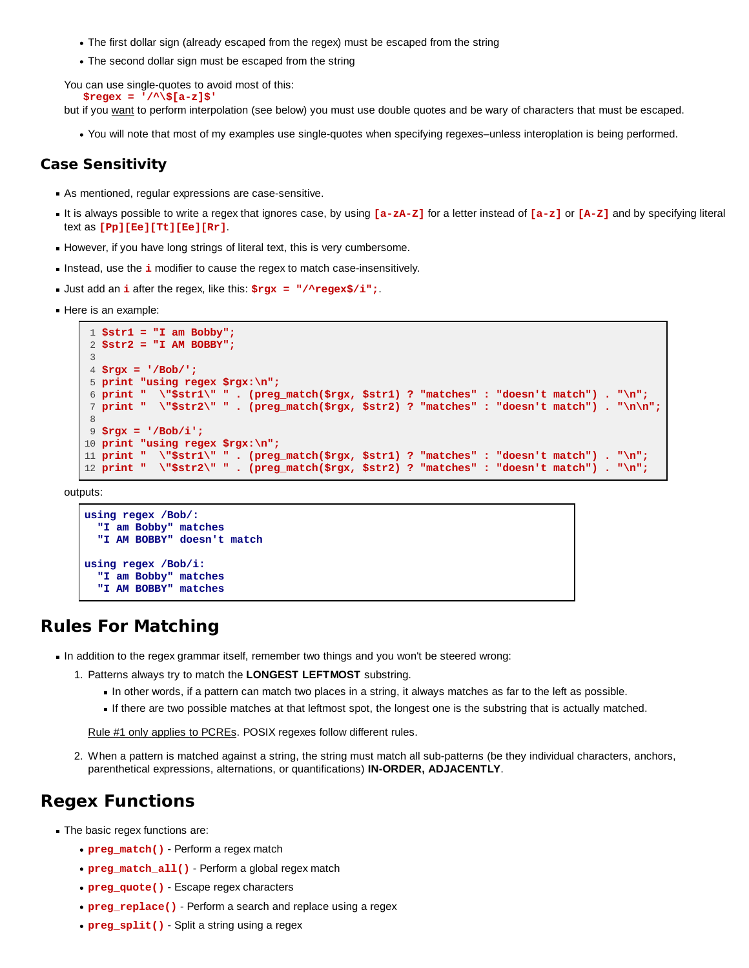- The first dollar sign (already escaped from the regex) must be escaped from the string
- The second dollar sign must be escaped from the string

You can use single-quotes to avoid most of this:  **\$regex = '/^\\$[a-z]\$'**

but if you want to perform interpolation (see below) you must use double quotes and be wary of characters that must be escaped.

You will note that most of my examples use single-quotes when specifying regexes–unless interoplation is being performed.

### **Case Sensitivity**

- As mentioned, regular expressions are case-sensitive.
- It is always possible to write a regex that ignores case, by using  $[a zA z]$  for a letter instead of  $[a z]$  or  $[A z]$  and by specifying literal text as **[Pp][Ee][Tt][Ee][Rr]**.
- However, if you have long strings of literal text, this is very cumbersome.
- Instead, use the *i* modifier to cause the regex to match case-insensitively.
- Just add an **i** after the regex, like this: **\$rgx = "/^regex\$/i";**.
- Here is an example:

```
 1 $str1 = "I am Bobby";
  2 $str2 = "I AM BOBBY";
 3
 4 $rgx = '/Bob/';
 5 print "using regex $rgx:\n";
 6 print " \"$str1\" " . (preg_match($rgx, $str1) ? "matches" : "doesn't match") . "\n";
 7 print " \"$str2\" " . (preg_match($rgx, $str2) ? "matches" : "doesn't match") . "\n\n";
 8
 9 $rgx = '/Bob/i';
10 print "using regex $rgx:\n";
11 print " \"$str1\" " . (preg_match($rgx, $str1) ? "matches" : "doesn't match") . "\n";
12 print " \"$str2\" " . (preg_match($rgx, $str2) ? "matches" : "doesn't match") . "\n";
```
outputs:

```
using regex /Bob/:
   "I am Bobby" matches
   "I AM BOBBY" doesn't match
using regex /Bob/i:
   "I am Bobby" matches
   "I AM BOBBY" matches
```
# **Rules For Matching**

- In addition to the regex grammar itself, remember two things and you won't be steered wrong:
	- 1. Patterns always try to match the **LONGEST LEFTMOST** substring.
		- In other words, if a pattern can match two places in a string, it always matches as far to the left as possible.
		- If there are two possible matches at that leftmost spot, the longest one is the substring that is actually matched.

Rule #1 only applies to PCREs. POSIX regexes follow different rules.

2. When a pattern is matched against a string, the string must match all sub-patterns (be they individual characters, anchors, parenthetical expressions, alternations, or quantifications) **IN-ORDER, ADJACENTLY**.

# **Regex Functions**

- The basic regex functions are:
	- **preg\_match()** Perform a regex match
	- **preg\_match\_all()** Perform a global regex match
	- **preg\_quote()** Escape regex characters
	- **preg\_replace()** Perform a search and replace using a regex
	- **preg\_split()** Split a string using a regex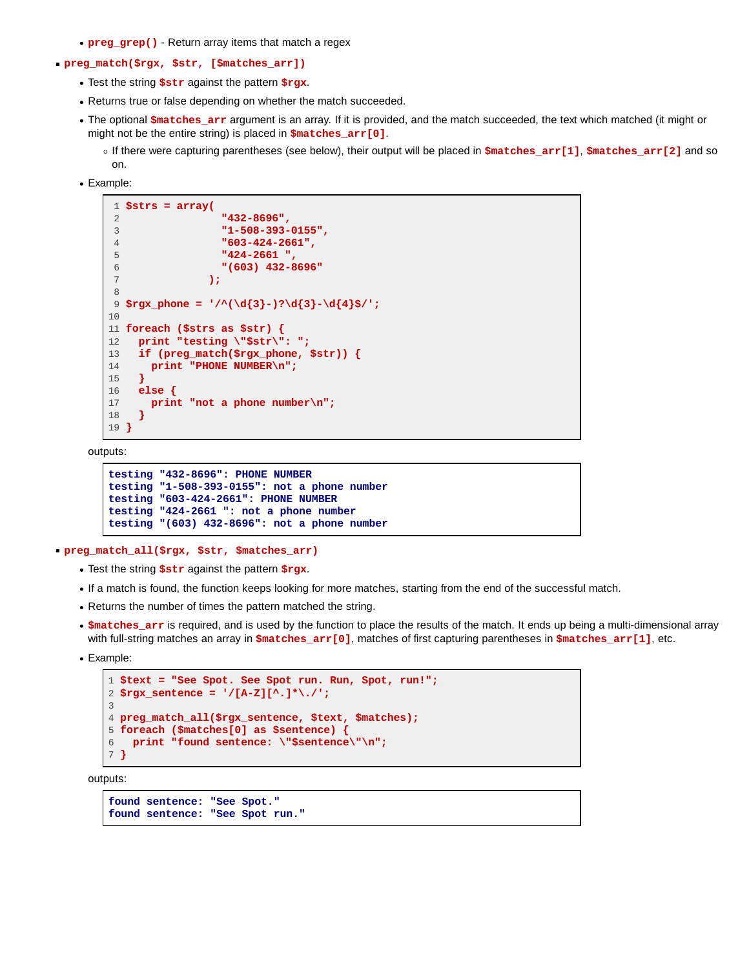- **preg\_grep()** Return array items that match a regex
- **preg\_match(\$rgx, \$str, [\$matches\_arr])**
	- Test the string **\$str** against the pattern **\$rgx**.
	- Returns true or false depending on whether the match succeeded.
	- The optional **\$matches\_arr** argument is an array. If it is provided, and the match succeeded, the text which matched (it might or might not be the entire string) is placed in **\$matches\_arr[0]**.
		- If there were capturing parentheses (see below), their output will be placed in **\$matches\_arr[1]**, **\$matches\_arr[2]** and so on.
	- Example:

```
 1 $strs = array(
 2 "432-8696",
 3 "1-508-393-0155",
 4 "603-424-2661",
 5 "424-2661 ",
               6 "(603) 432-8696"
 7 );
 8
 9 $rgx_phone = '/^(\d{3}-)?\d{3}-\d{4}$/';
10
11 foreach ($strs as $str) {
12 print "testing \"$str\": ";
13 if (preg_match($rgx_phone, $str)) {
14 print "PHONE NUMBER\n";
15 }
16 else {
17 print "not a phone number\n";
18 }
19 }
```
outputs:

```
testing "432-8696": PHONE NUMBER
testing "1-508-393-0155": not a phone number
testing "603-424-2661": PHONE NUMBER
testing "424-2661 ": not a phone number
testing "(603) 432-8696": not a phone number
```
**preg\_match\_all(\$rgx, \$str, \$matches\_arr)**

- Test the string **\$str** against the pattern **\$rgx**.
- If a match is found, the function keeps looking for more matches, starting from the end of the successful match.
- Returns the number of times the pattern matched the string.
- **\$matches\_arr** is required, and is used by the function to place the results of the match. It ends up being a multi-dimensional array with full-string matches an array in **\$matches\_arr[0]**, matches of first capturing parentheses in **\$matches\_arr[1]**, etc.
- Example:

```
1 $text = "See Spot. See Spot run. Run, Spot, run!";
2 $rgx_sentence = '/[A-Z][^.]*\./';
3
4 preg_match_all($rgx_sentence, $text, $matches);
5 foreach ($matches[0] as $sentence) {
6 print "found sentence: \"$sentence\"\n";
7 }
```
outputs:

```
found sentence: "See Spot."
found sentence: "See Spot run."
```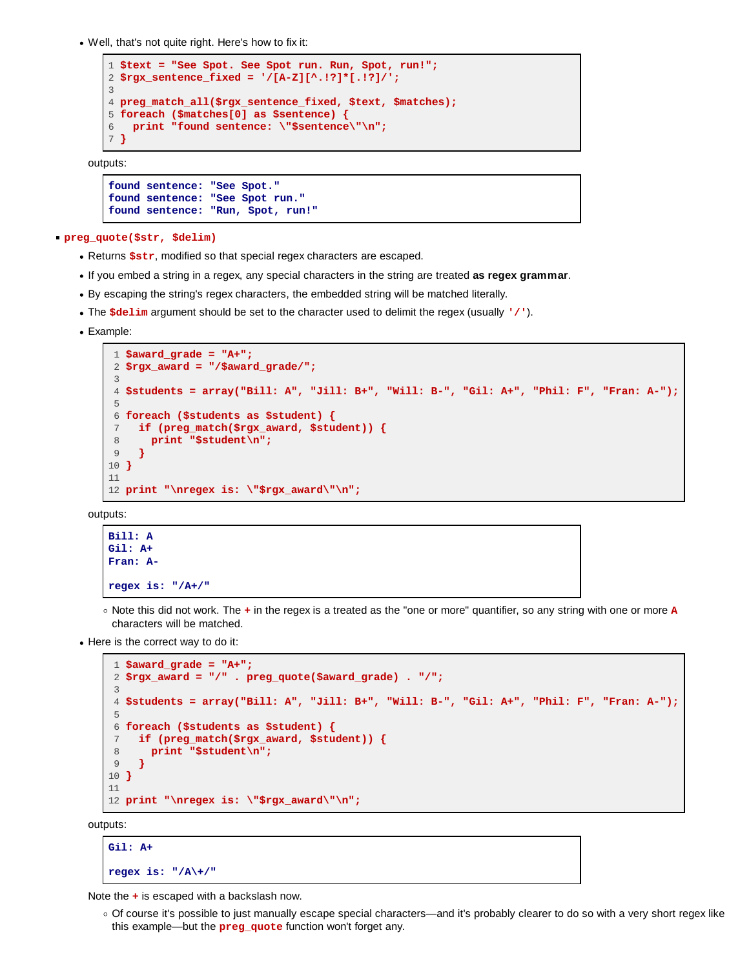Well, that's not quite right. Here's how to fix it:

```
1 $text = "See Spot. See Spot run. Run, Spot, run!";
2 $rgx_sentence_fixed = '/[A-Z][^.!?]*[.!?]/';
3
4 preg_match_all($rgx_sentence_fixed, $text, $matches);
5 foreach ($matches[0] as $sentence) {
6 print "found sentence: \"$sentence\"\n";
7 }
```
outputs:

```
found sentence: "See Spot."
found sentence: "See Spot run."
found sentence: "Run, Spot, run!"
```
**preg\_quote(\$str, \$delim)**

- Returns **\$str**, modified so that special regex characters are escaped.
- If you embed a string in a regex, any special characters in the string are treated **as regex grammar**.
- By escaping the string's regex characters, the embedded string will be matched literally.
- The **\$delim** argument should be set to the character used to delimit the regex (usually **'/'**).
- Example:

```
 1 $award_grade = "A+";
 2 $rgx_award = "/$award_grade/";
\overline{\mathbf{3}} 4 $students = array("Bill: A", "Jill: B+", "Will: B-", "Gil: A+", "Phil: F", "Fran: A-");
 5
 6 foreach ($students as $student) {
 7 if (preg_match($rgx_award, $student)) {
 8 print "$student\n";
 9 }
10 }
11
12 print "\nregex is: \"$rgx_award\"\n";
```
outputs:

```
Bill: A
Gil: A+
Fran: A-
regex is: "/A+/"
```
- Note this did not work. The **+** in the regex is a treated as the "one or more" quantifier, so any string with one or more **A** characters will be matched.
- Here is the correct way to do it:

```
 1 $award_grade = "A+";
 2 $rgx_award = "/" . preg_quote($award_grade) . "/";
 3
 4 $students = array("Bill: A", "Jill: B+", "Will: B-", "Gil: A+", "Phil: F", "Fran: A-");
 5
 6 foreach ($students as $student) {
 7 if (preg_match($rgx_award, $student)) {
 8 print "$student\n";
 9 }
10 }
11
12 print "\nregex is: \"$rgx_award\"\n";
```
outputs:

```
Gil: A+
regex is: "/A\+/"
```
Note the **+** is escaped with a backslash now.

Of course it's possible to just manually escape special characters—and it's probably clearer to do so with a very short regex like this example—but the **preg\_quote** function won't forget any.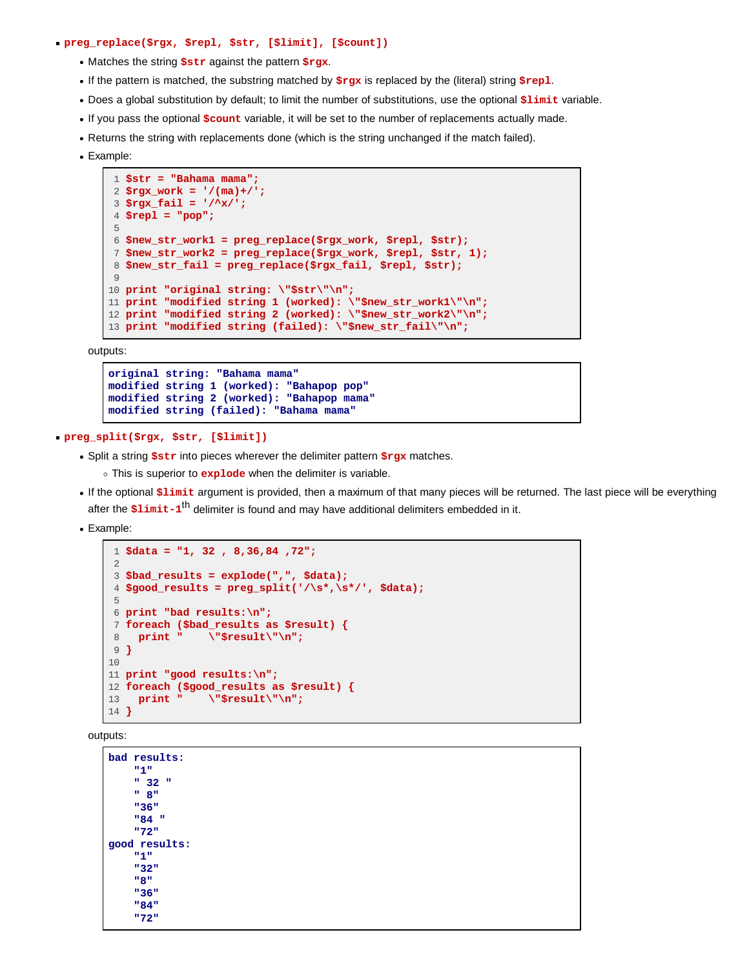#### **preg\_replace(\$rgx, \$repl, \$str, [\$limit], [\$count])**

- Matches the string **\$str** against the pattern **\$rgx**.
- If the pattern is matched, the substring matched by **\$rgx** is replaced by the (literal) string **\$repl**.
- Does a global substitution by default; to limit the number of substitutions, use the optional **\$limit** variable.
- If you pass the optional **\$count** variable, it will be set to the number of replacements actually made.
- Returns the string with replacements done (which is the string unchanged if the match failed).
- Example:

```
 1 $str = "Bahama mama";
 2 $rgx_work = '/(ma)+/';
 3 $rgx_fail = '/^x/';
 4 $repl = "pop";
 5
 6 $new_str_work1 = preg_replace($rgx_work, $repl, $str);
 7 $new_str_work2 = preg_replace($rgx_work, $repl, $str, 1);
 8 $new_str_fail = preg_replace($rgx_fail, $repl, $str);
 9
10 print "original string: \"$str\"\n";
11 print "modified string 1 (worked): \"$new_str_work1\"\n";
12 print "modified string 2 (worked): \"$new_str_work2\"\n";
13 print "modified string (failed): \"$new_str_fail\"\n";
```
outputs:

```
original string: "Bahama mama"
modified string 1 (worked): "Bahapop pop"
modified string 2 (worked): "Bahapop mama"
modified string (failed): "Bahama mama"
```
#### **preg\_split(\$rgx, \$str, [\$limit])**

- Split a string **\$str** into pieces wherever the delimiter pattern **\$rgx** matches.
	- This is superior to **explode** when the delimiter is variable.
- If the optional **\$limit** argument is provided, then a maximum of that many pieces will be returned. The last piece will be everything after the **\$limit-1**th delimiter is found and may have additional delimiters embedded in it.
- Example:

```
 1 $data = "1, 32 , 8,36,84 ,72";
 \Omega 3 $bad_results = explode(",", $data);
  4 $good_results = preg_split('/\s*,\s*/', $data);
  5
  6 print "bad results:\n";
  7 foreach ($bad_results as $result) {
  8 print " \"$result\"\n";
 9 }
10
11 print "good results:\n";
12 foreach ($good_results as $result) {<br>13 print " \"$result\"\n";
13 print " \"$result\"\n";
14 }
```
outputs:

```
bad results:
      "1"
      " 32 "
      " 8"
      "36"
      "84 "
      "72"
good results:
      "1"
      "32"
      "8"
      "36"
      "84"
      "72"
```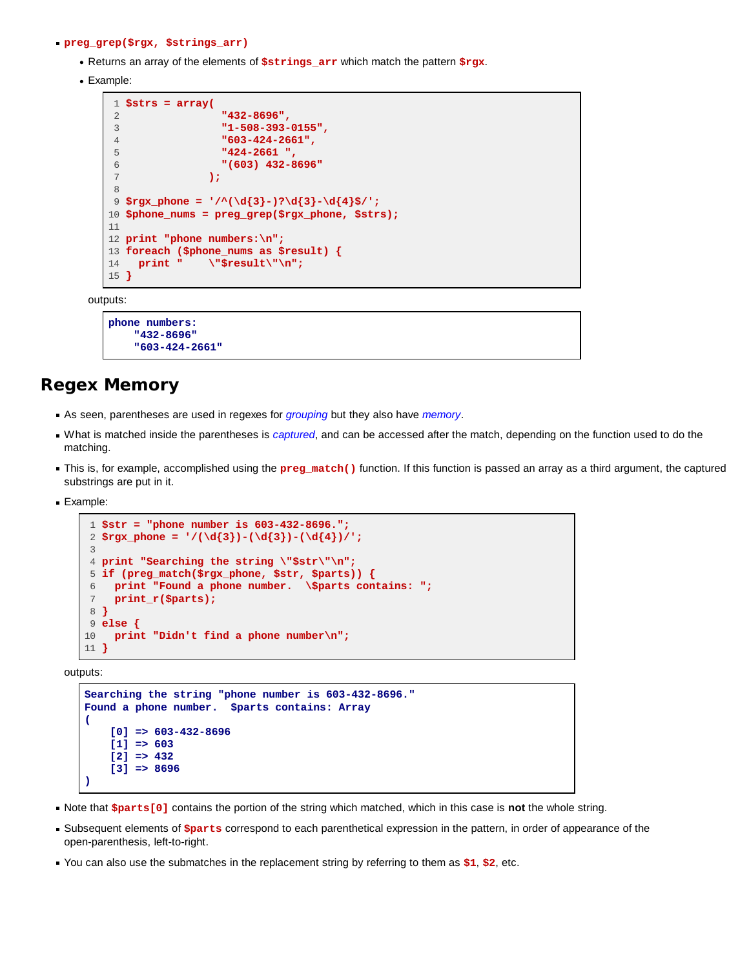#### **preg\_grep(\$rgx, \$strings\_arr)**

- Returns an array of the elements of **\$strings\_arr** which match the pattern **\$rgx**.
- Example:

```
 1 $strs = array(
 2 "432-8696",
 3 "1-508-393-0155",
 4 "603-424-2661",
 5 "424-2661 ",
 6 "(603) 432-8696"
 7 );
 8
 9 $rgx_phone = '/^(\d{3}-)?\d{3}-\d{4}$/';
10 $phone_nums = preg_grep($rgx_phone, $strs);
11
12 print "phone numbers:\n";
13 foreach ($phone_nums as $result) {
14 print " \"$result\"\n";
15 }
```
outputs:

```
phone numbers:
     "432-8696"
     "603-424-2661"
```
# **Regex Memory**

- As seen, parentheses are used in regexes for *grouping* but they also have *memory*.
- What is matched inside the parentheses is *captured*, and can be accessed after the match, depending on the function used to do the matching.
- This is, for example, accomplished using the **preg\_match()** function. If this function is passed an array as a third argument, the captured substrings are put in it.
- **Example:**

```
 1 $str = "phone number is 603-432-8696.";
2 \frac{p}{3} - (\d{3}) - (\d{3}) - (\d{4}) 3
 4 print "Searching the string \"$str\"\n";
 5 if (preg_match($rgx_phone, $str, $parts)) {
 6 print "Found a phone number. \$parts contains: ";
 7 print_r($parts);
 8 }
 9 else {
10 print "Didn't find a phone number\n";
11 }
```
outputs:

```
Searching the string "phone number is 603-432-8696."
Found a phone number. $parts contains: Array
(
     [0] => 603-432-8696
     [1] => 603
     [2] => 432
     [3] => 8696
)
```
- Note that **\$parts[0]** contains the portion of the string which matched, which in this case is **not** the whole string.
- Subsequent elements of **\$parts** correspond to each parenthetical expression in the pattern, in order of appearance of the open-parenthesis, left-to-right.
- You can also use the submatches in the replacement string by referring to them as **\$1**, **\$2**, etc.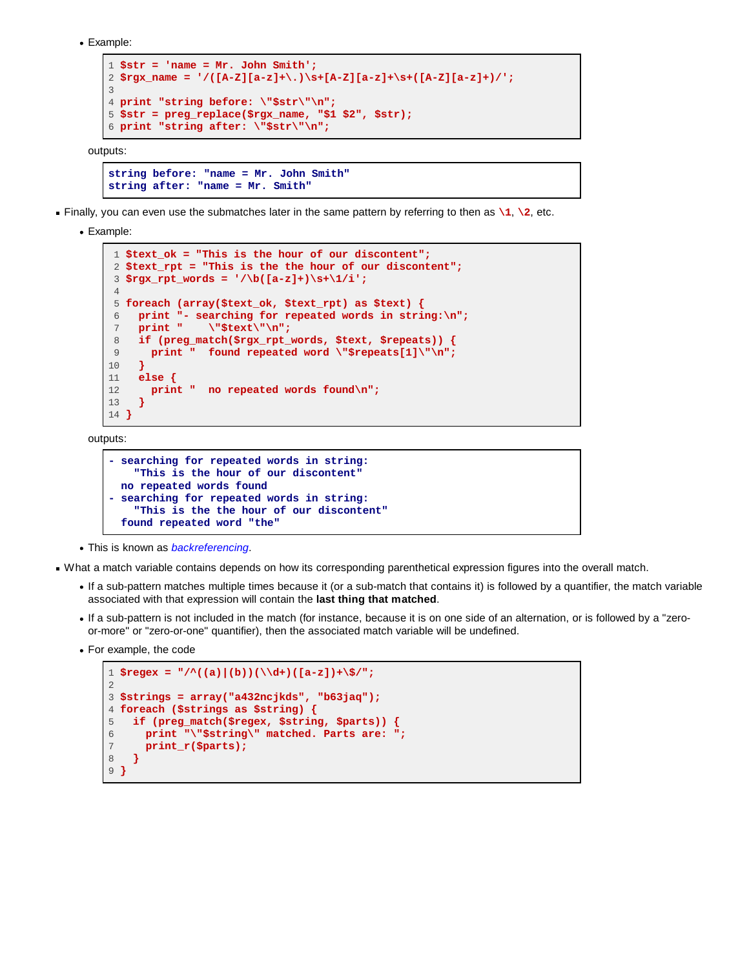```
Example:
```

```
1 $str = 'name = Mr. John Smith';
2 $rgx_name = '/([A-Z][a-z]+\.)\s+[A-Z][a-z]+\s+([A-Z][a-z]+)/';
3
4 print "string before: \"$str\"\n";
5 $str = preg_replace($rgx_name, "$1 $2", $str);
6 print "string after: \"$str\"\n";
```
outputs:

```
string before: "name = Mr. John Smith"
string after: "name = Mr. Smith"
```
Finally, you can even use the submatches later in the same pattern by referring to then as  $\setminus 1$ ,  $\setminus 2$ , etc.

Example:

```
 1 $text_ok = "This is the hour of our discontent";
 2 $text_rpt = "This is the the hour of our discontent";
 3 $rgx_rpt_words = '/\b([a-z]+)\s+\1/i';
 4
 5 foreach (array($text_ok, $text_rpt) as $text) {
6 print "- searching for repeated words in string:\n";<br>7 print " \"$text\"\n";
 7 print " \"$text\"\n";
 8 if (preg_match($rgx_rpt_words, $text, $repeats)) {
 9 print " found repeated word \"$repeats[1]\"\n";
10 }
11 else {
12 print " no repeated words found\n";<br>13 }
13 }
14 }
```
outputs:

```
- searching for repeated words in string:
     "This is the hour of our discontent"
  no repeated words found
- searching for repeated words in string:
     "This is the the hour of our discontent"
  found repeated word "the"
```
This is known as *backreferencing*.

What a match variable contains depends on how its corresponding parenthetical expression figures into the overall match.

- If a sub-pattern matches multiple times because it (or a sub-match that contains it) is followed by a quantifier, the match variable associated with that expression will contain the **last thing that matched**.
- If a sub-pattern is not included in the match (for instance, because it is on one side of an alternation, or is followed by a "zeroor-more" or "zero-or-one" quantifier), then the associated match variable will be undefined.
- For example, the code

```
1 $regex = "\/^((a) | (b)) (\\\d+)([a-z]) + \$/";\mathcal{L}3 $strings = array("a432ncjkds", "b63jaq");
4 foreach ($strings as $string) {
5 if (preg_match($regex, $string, $parts)) {
6 print "\"$string\" matched. Parts are: ";
7 print_r($parts);
   8 }
9 }
```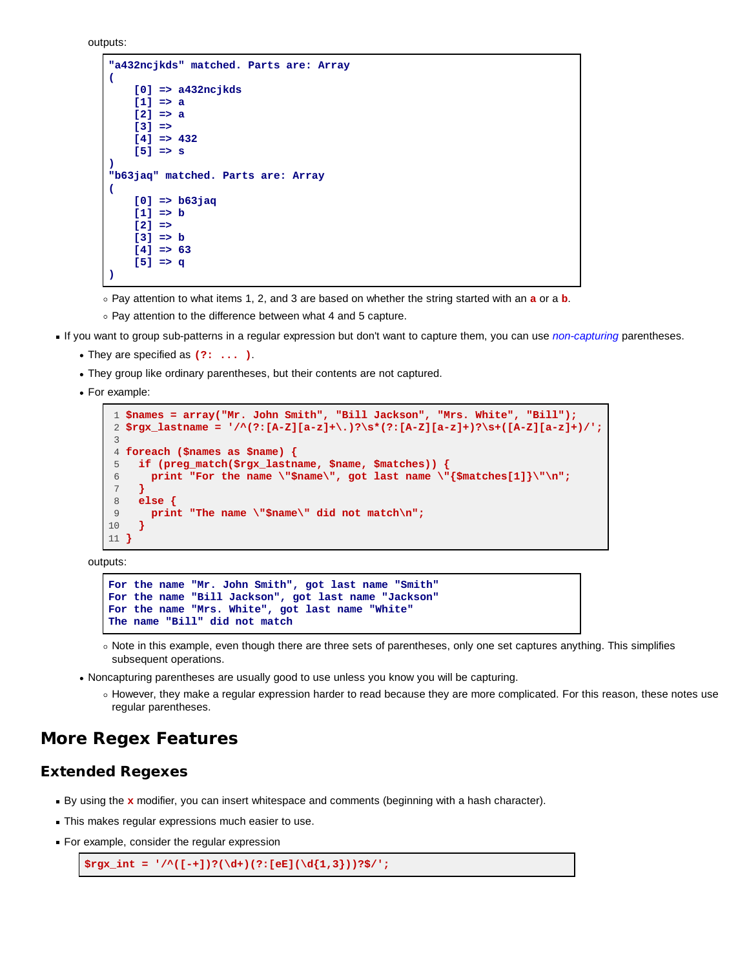```
outputs:
```

```
"a432ncjkds" matched. Parts are: Array
(
     [0] => a432ncjkds
     [1] => a
     [2] => a
     [3] => 
     [4] => 432
     [5] => s
)
"b63jaq" matched. Parts are: Array
(
     [0] => b63jaq
     [1] => b
     [2] => 
     [3] => b
     [4] => 63
     [5] => q
)
```
Pay attention to what items 1, 2, and 3 are based on whether the string started with an **a** or a **b**.

- o Pay attention to the difference between what 4 and 5 capture.
- If you want to group sub-patterns in a regular expression but don't want to capture them, you can use *non-capturing* parentheses.
	- They are specified as **(?: ... )**.
	- They group like ordinary parentheses, but their contents are not captured.
	- For example:

```
 1 $names = array("Mr. John Smith", "Bill Jackson", "Mrs. White", "Bill");
 2 $rgx_lastname = '/^(?:[A-Z][a-z]+\.)?\s*(?:[A-Z][a-z]+)?\s+([A-Z][a-z]+)/';
 3
 4 foreach ($names as $name) {
 5 if (preg_match($rgx_lastname, $name, $matches)) {
 6 print "For the name \"$name\", got last name \"{$matches[1]}\"\n";
 7 }
 8 else {
 9 print "The name \"$name\" did not match\n";
10 }
11 }
```
outputs:

```
For the name "Mr. John Smith", got last name "Smith"
For the name "Bill Jackson", got last name "Jackson"
For the name "Mrs. White", got last name "White"
The name "Bill" did not match
```
- Note in this example, even though there are three sets of parentheses, only one set captures anything. This simplifies subsequent operations.
- Noncapturing parentheses are usually good to use unless you know you will be capturing.
	- However, they make a regular expression harder to read because they are more complicated. For this reason, these notes use regular parentheses.

# **More Regex Features**

### **Extended Regexes**

- By using the **x** modifier, you can insert whitespace and comments (beginning with a hash character).
- This makes regular expressions much easier to use.
- For example, consider the regular expression

```
$rgx_int = '/^([-+])?(\d+)(?:[eE](\d{1,3}))?$/';
```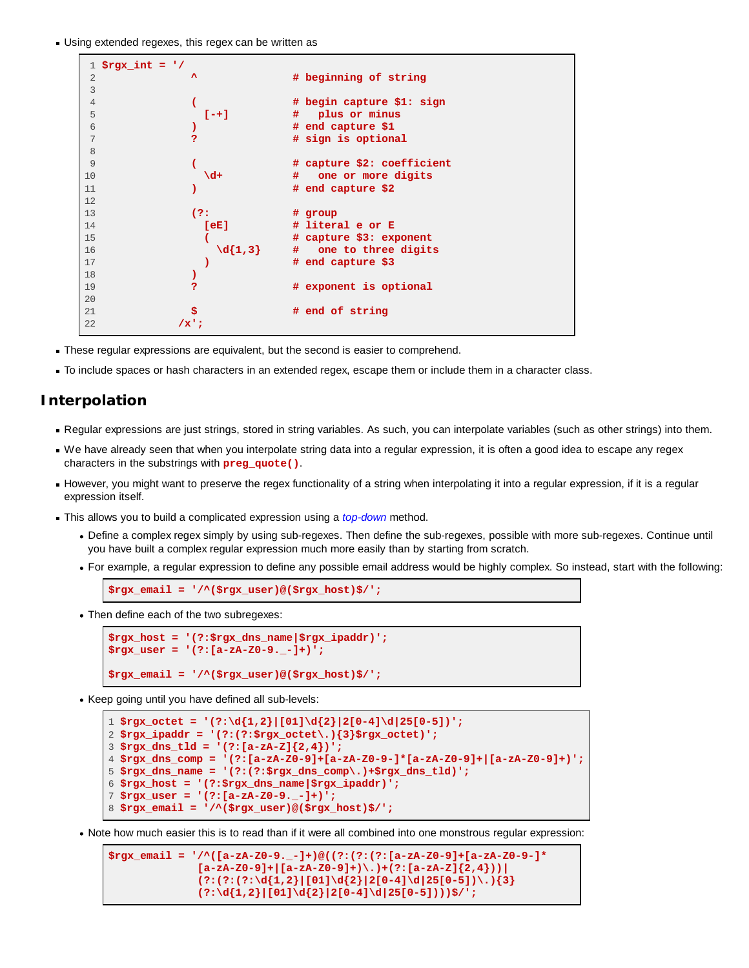Using extended regexes, this regex can be written as

```
 1 $rgx_int = '/
 2 ^ # beginning of string
 3
 4 ( # begin capture $1: sign
 5 [-+] # plus or minus
 6 ) # end capture $1
                  7 ? # sign is optional
 8
 9 ( # capture $2: coefficient
10 \lambdad+ # one or more digits
11 ) # end capture $2
12
13 (?: # group
14 [eE] # literal e or E
15 ( # capture $3: exponent
16 \{d\{1,3\} # one to three digits
17 ) # end capture $3
18 )
19 ? # exponent is optional
20
21 $ # end of string
22 /x';
```
- These regular expressions are equivalent, but the second is easier to comprehend.
- To include spaces or hash characters in an extended regex, escape them or include them in a character class.

### **Interpolation**

- Regular expressions are just strings, stored in string variables. As such, you can interpolate variables (such as other strings) into them.
- We have already seen that when you interpolate string data into a regular expression, it is often a good idea to escape any regex characters in the substrings with **preg\_quote()**.
- However, you might want to preserve the regex functionality of a string when interpolating it into a regular expression, if it is a regular expression itself.
- This allows you to build a complicated expression using a *top-down* method.
	- Define a complex regex simply by using sub-regexes. Then define the sub-regexes, possible with more sub-regexes. Continue until you have built a complex regular expression much more easily than by starting from scratch.
	- For example, a regular expression to define any possible email address would be highly complex. So instead, start with the following:

**\$rgx\_email = '/^(\$rgx\_user)@(\$rgx\_host)\$/';**

Then define each of the two subregexes:

```
$rgx_host = '(?:$rgx_dns_name|$rgx_ipaddr)';
$rgx_user = '(?:[a-zA-Z0-9._-]+)';
$rgx_email = '/^($rgx_user)@($rgx_host)$/';
```
• Keep going until you have defined all sub-levels:

```
1 $rgx_octet = '(?:\d{1,2}|[01]\d{2}|2[0-4]\d|25[0-5])';
2 $rgx_ipaddr = '(?:(?:$rgx_octet\.){3}$rgx_octet)';
3 $rgx_dns_tld = '(?:[a-zA-Z]{2,4})';
4 $rgx_dns_comp = '(?:[a-zA-Z0-9]+[a-zA-Z0-9-]*[a-zA-Z0-9]+|[a-zA-Z0-9]+)';
5 $rgx_dns_name = '(?:(?:$rgx_dns_comp\.)+$rgx_dns_tld)';
6 $rgx_host = '(?:$rgx_dns_name|$rgx_ipaddr)';
7 $rgx_user = '(?:[a-zA-Z0-9._-]+)';
8 $rgx_email = '/^($rgx_user)@($rgx_host)$/';
```
Note how much easier this is to read than if it were all combined into one monstrous regular expression:

**\$rgx\_email = '/^([a-zA-Z0-9.\_-]+)@((?:(?:(?:[a-zA-Z0-9]+[a-zA-Z0-9-]\***  $[a-zA-Z0-9]+|a-zA-Z0-9]+)\$ .)+(?: $[a-zA-Z]{2,4})$ )  $(?:(?:(?:\d{1,2}\|[01]\d{2}\|2[0-4]\d{25[0-5])}\ldots){3}$  **(?:\d{1,2}|[01]\d{2}|2[0-4]\d|25[0-5])))\$/';**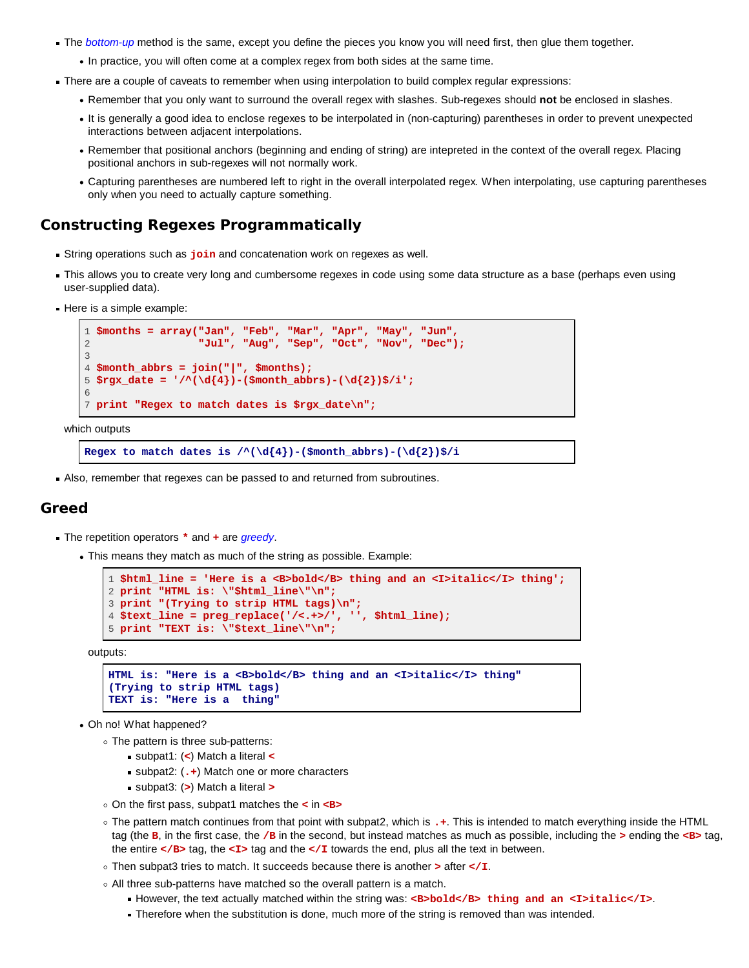- The *bottom-up* method is the same, except you define the pieces you know you will need first, then glue them together.
	- In practice, you will often come at a complex regex from both sides at the same time.
- There are a couple of caveats to remember when using interpolation to build complex regular expressions:
	- Remember that you only want to surround the overall regex with slashes. Sub-regexes should **not** be enclosed in slashes.
	- It is generally a good idea to enclose regexes to be interpolated in (non-capturing) parentheses in order to prevent unexpected interactions between adjacent interpolations.
	- Remember that positional anchors (beginning and ending of string) are intepreted in the context of the overall regex. Placing positional anchors in sub-regexes will not normally work.
	- Capturing parentheses are numbered left to right in the overall interpolated regex. When interpolating, use capturing parentheses only when you need to actually capture something.

## **Constructing Regexes Programmatically**

- String operations such as **join** and concatenation work on regexes as well.
- This allows you to create very long and cumbersome regexes in code using some data structure as a base (perhaps even using user-supplied data).
- Here is a simple example:

```
1 $months = array("Jan", "Feb", "Mar", "Apr", "May", "Jun",
2 "Jul", "Aug", "Sep", "Oct", "Nov", "Dec");
3
4 $month_abbrs = join("|", $months);
5 \frac{3}{2} s \frac{3}{2} date = '/\left(\frac{d}{4}\right) - (\frac{3}{2}brs) - \frac{d}{2})$/i';
6
7 print "Regex to match dates is $rgx_date\n";
```
which outputs

```
Regex to match dates is /\land (\d{4}) - ($month_abbrs) - (\d{2})$/i
```
Also, remember that regexes can be passed to and returned from subroutines.

### **Greed**

- The repetition operators **\*** and **+** are *greedy*.
	- This means they match as much of the string as possible. Example:

```
1 $html_line = 'Here is a <B>bold</B> thing and an <I>italic</I> thing';
2 print "HTML is: \"$html_line\"\n";
3 print "(Trying to strip HTML tags)\n";
4 $text_line = preg_replace('/<.+>/', '', $html_line);
5 print "TEXT is: \"$text_line\"\n";
```
outputs:

```
HTML is: "Here is a <B>bold</B> thing and an <I>italic</I> thing"
(Trying to strip HTML tags)
TEXT is: "Here is a thing"
```
Oh no! What happened?

- The pattern is three sub-patterns:
	- subpat1: (**<**) Match a literal **<**
	- subpat2: (**.+**) Match one or more characters
	- subpat3: (**>**) Match a literal **>**
- On the first pass, subpat1 matches the **<** in **<B>**
- The pattern match continues from that point with subpat2, which is **.+**. This is intended to match everything inside the HTML tag (the **B**, in the first case, the **/B** in the second, but instead matches as much as possible, including the **>** ending the **<B>** tag, the entire  $\lt/$ B> tag, the  $\lt/$ I> tag and the  $\lt/$ I towards the end, plus all the text in between.
- Then subpat3 tries to match. It succeeds because there is another **>** after **</I**.
- All three sub-patterns have matched so the overall pattern is a match.
	- However, the text actually matched within the string was: <B>bold</B>thing and an <I>italic</I>.
	- Therefore when the substitution is done, much more of the string is removed than was intended.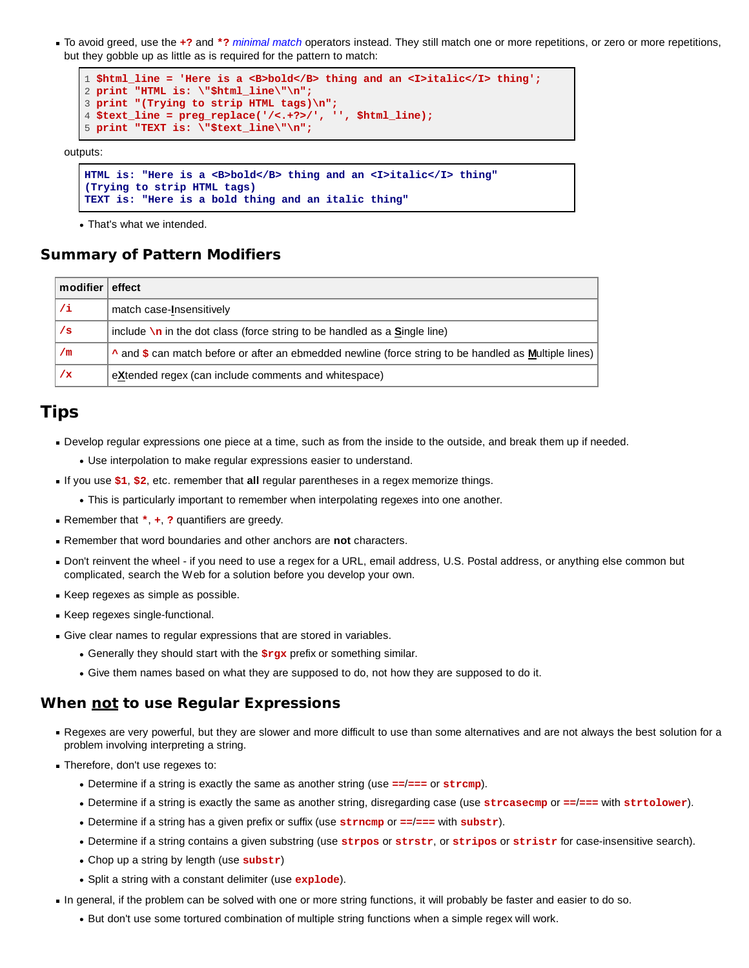To avoid greed, use the **+?** and **\*?** *minimal match* operators instead. They still match one or more repetitions, or zero or more repetitions, but they gobble up as little as is required for the pattern to match:

```
1 $html_line = 'Here is a <B>bold</B> thing and an <I>italic</I> thing';
2 print "HTML is: \"$html_line\"\n";
3 print "(Trying to strip HTML tags)\n";
4 $text_line = preg_replace('/<.+?>/', '', $html_line);
5 print "TEXT is: \"$text_line\"\n";
```
outputs:

```
HTML is: "Here is a <B>bold</B> thing and an <I>italic</I> thing"
(Trying to strip HTML tags)
TEXT is: "Here is a bold thing and an italic thing"
```
• That's what we intended.

# **Summary of Pattern Modifiers**

| modifier $\vert$ effect |                                                                                                       |
|-------------------------|-------------------------------------------------------------------------------------------------------|
| /i                      | match case-Insensitively                                                                              |
| /s                      | include $\ln$ in the dot class (force string to be handled as a <b>S</b> ingle line)                  |
| /m                      | A and \$ can match before or after an ebmedded newline (force string to be handled as Multiple lines) |
| <u>/x</u>               | eXtended regex (can include comments and whitespace)                                                  |

# **Tips**

- Develop regular expressions one piece at a time, such as from the inside to the outside, and break them up if needed.
	- Use interpolation to make regular expressions easier to understand.
- If you use **\$1**, **\$2**, etc. remember that **all** regular parentheses in a regex memorize things.
	- This is particularly important to remember when interpolating regexes into one another.
- Remember that **\***, **+**, **?** quantifiers are greedy.
- Remember that word boundaries and other anchors are **not** characters.
- Don't reinvent the wheel if you need to use a regex for a URL, email address, U.S. Postal address, or anything else common but complicated, search the Web for a solution before you develop your own.
- Keep regexes as simple as possible.
- Keep regexes single-functional.
- Give clear names to regular expressions that are stored in variables.
	- Generally they should start with the **\$rgx** prefix or something similar.
	- Give them names based on what they are supposed to do, not how they are supposed to do it.

# **When not to use Regular Expressions**

- Regexes are very powerful, but they are slower and more difficult to use than some alternatives and are not always the best solution for a problem involving interpreting a string.
- Therefore, don't use regexes to:
	- Determine if a string is exactly the same as another string (use **==**/**===** or **strcmp**).
	- Determine if a string is exactly the same as another string, disregarding case (use **strcasecmp** or **==**/**===** with **strtolower**).
	- Determine if a string has a given prefix or suffix (use **strncmp** or **==**/**===** with **substr**).
	- Determine if a string contains a given substring (use **strpos** or **strstr**, or **stripos** or **stristr** for case-insensitive search).
	- Chop up a string by length (use **substr**)
	- Split a string with a constant delimiter (use **explode**).
- In general, if the problem can be solved with one or more string functions, it will probably be faster and easier to do so.
	- But don't use some tortured combination of multiple string functions when a simple regex will work.